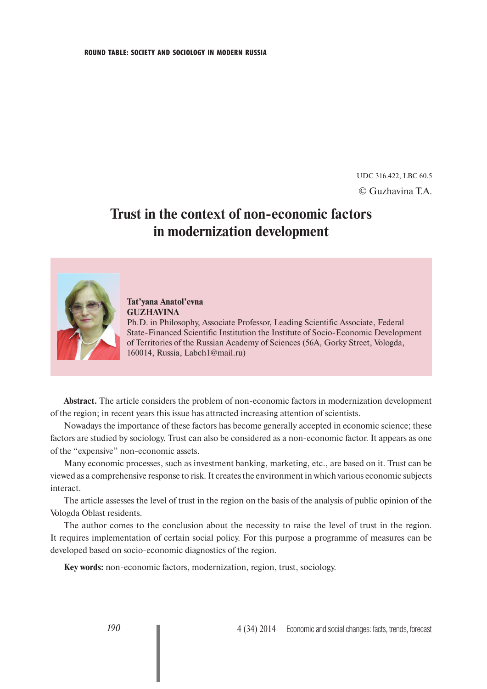UDC 316.422, LBC 60.5 © Guzhavina T.A.

## **Trust in the context of non-economic factors in modernization development**



**Tat'yana Anatol'evna GUZHAVINA** Ph.D. in Philosophy, Associate Professor, Leading Scientific Associate, Federal State-Financed Scientific Institution the Institute of Socio-Economic Development of Territories of the Russian Academy of Sciences (56A, Gorky Street, Vologda, 160014, Russia, Labch1@mail.ru)

**Abstract.** The article considers the problem of non-economic factors in modernization development of the region; in recent years this issue has attracted increasing attention of scientists.

Nowadays the importance of these factors has become generally accepted in economic science; these factors are studied by sociology. Trust can also be considered as a non-economic factor. It appears as one of the "expensive" non-economic assets.

Many economic processes, such as investment banking, marketing, etc., are based on it. Trust can be viewed as a comprehensive response to risk. It creates the environment in which various economic subjects interact.

The article assesses the level of trust in the region on the basis of the analysis of public opinion of the Vologda Oblast residents.

The author comes to the conclusion about the necessity to raise the level of trust in the region. It requires implementation of certain social policy. For this purpose a programme of measures can be developed based on socio-economic diagnostics of the region.

**Key words:** non-economic factors, modernization, region, trust, sociology.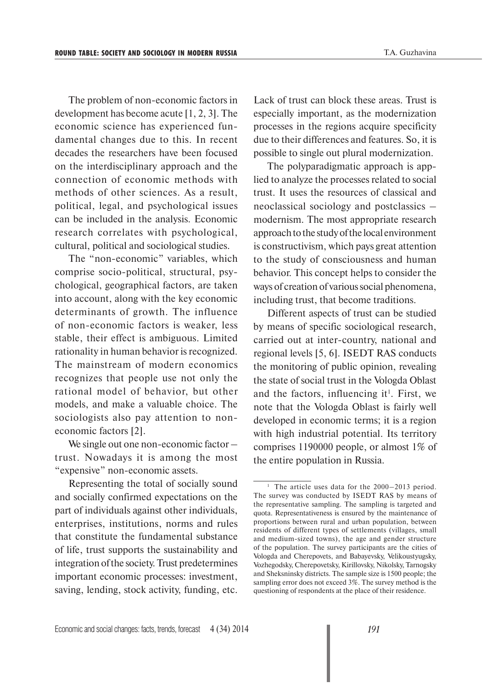The problem of non-economic factors in development has become acute [1, 2, 3]. The economic science has experienced fundamental changes due to this. In recent decades the researchers have been focused on the interdisciplinary approach and the connection of economic methods with methods of other sciences. As a result, political, legal, and psychological issues can be included in the analysis. Economic research correlates with psychological, cultural, political and sociological studies.

The "non-economic" variables, which comprise socio-political, structural, psychological, geographical factors, are taken into account, along with the key economic determinants of growth. The influence of non-economic factors is weaker, less stable, their effect is ambiguous. Limited rationality in human behavior is recognized. The mainstream of modern economics recognizes that people use not only the rational model of behavior, but other models, and make a valuable choice. The sociologists also pay attention to noneconomic factors [2].

We single out one non-economic factor – trust. Nowadays it is among the most "expensive" non-economic assets.

Representing the total of socially sound and socially confirmed expectations on the part of individuals against other individuals, enterprises, institutions, norms and rules that constitute the fundamental substance of life, trust supports the sustainability and integration of the society. Trust predetermines important economic processes: investment, saving, lending, stock activity, funding, etc.

Lack of trust can block these areas. Trust is especially important, as the modernization processes in the regions acquire specificity due to their differences and features. So, it is possible to single out plural modernization.

The polyparadigmatic approach is applied to analyze the processes related to social trust. It uses the resources of classical and neoclassical sociology and postclassics – modernism. The most appropriate research approach to the study of the local environment is constructivism, which pays great attention to the study of consciousness and human behavior. This concept helps to consider the ways of creation of various social phenomena, including trust, that become traditions.

Different aspects of trust can be studied by means of specific sociological research, carried out at inter-country, national and regional levels [5, 6]. ISEDT RAS conducts the monitoring of public opinion, revealing the state of social trust in the Vologda Oblast and the factors, influencing it<sup>1</sup>. First, we note that the Vologda Oblast is fairly well developed in economic terms; it is a region with high industrial potential. Its territory comprises 1190000 people, or almost 1% of the entire population in Russia.

<sup>1</sup> The article uses data for the 2000–2013 period. The survey was conducted by ISEDT RAS by means of the representative sampling. The sampling is targeted and quota. Representativeness is ensured by the maintenance of proportions between rural and urban population, between residents of different types of settlements (villages, small and medium-sized towns), the age and gender structure of the population. The survey participants are the cities of Vologda and Cherepovets, and Babayevsky, Velikoustyugsky, Vozhegodsky, Cherepovetsky, Kirillovsky, Nikolsky, Tarnogsky and Sheksninsky districts. The sample size is 1500 people; the sampling error does not exceed 3%. The survey method is the questioning of respondents at the place of their residence.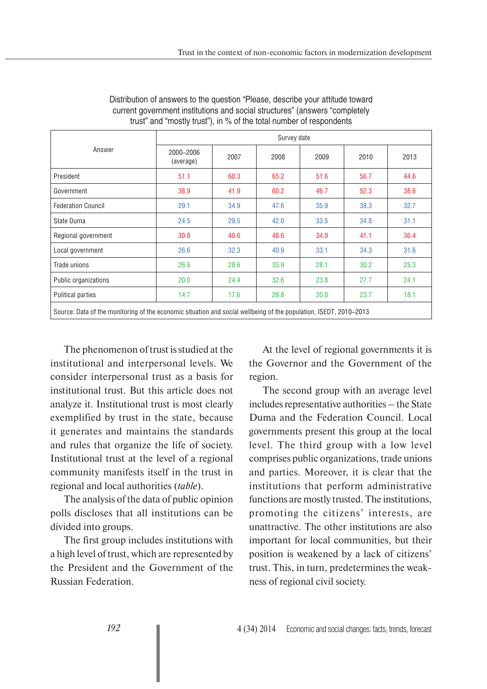| Answer                                                                                                            | Survey date            |      |      |      |      |      |
|-------------------------------------------------------------------------------------------------------------------|------------------------|------|------|------|------|------|
|                                                                                                                   | 2000-2006<br>(average) | 2007 | 2008 | 2009 | 2010 | 2013 |
| President                                                                                                         | 51.1                   | 60.3 | 65.2 | 51.6 | 56.7 | 44.6 |
| Government                                                                                                        | 38.9                   | 41.9 | 60.2 | 46.7 | 52.3 | 38.6 |
| <b>Federation Council</b>                                                                                         | 29.1                   | 34.9 | 47.6 | 35.9 | 38.3 | 32.7 |
| State Duma                                                                                                        | 24.5                   | 29.5 | 42.0 | 33.5 | 34.8 | 31.1 |
| Regional government                                                                                               | 30.8                   | 40.6 | 48.6 | 34.9 | 41.1 | 36.4 |
| Local government                                                                                                  | 26.6                   | 32.3 | 40.9 | 33.1 | 34.3 | 31.6 |
| Trade unions                                                                                                      | 26.5                   | 28.6 | 35.9 | 28.1 | 30.2 | 25.3 |
| Public organizations                                                                                              | 20.0                   | 24.4 | 32.6 | 23.8 | 27.7 | 24.1 |
| Political parties                                                                                                 | 14.7                   | 17.6 | 26.8 | 20.0 | 23.7 | 18.1 |
| Source: Data of the monitoring of the economic situation and social wellbeing of the population, ISEDT, 2010-2013 |                        |      |      |      |      |      |

Distribution of answers to the question "Please, describe your attitude toward current government institutions and social structures" (answers "completely trust" and "mostly trust"), in % of the total number of respondents

The phenomenon of trust is studied at the institutional and interpersonal levels. We consider interpersonal trust as a basis for institutional trust. But this article does not analyze it. Institutional trust is most clearly exemplified by trust in the state, because it generates and maintains the standards and rules that organize the life of society. Institutional trust at the level of a regional community manifests itself in the trust in regional and local authorities (*table*).

The analysis of the data of public opinion polls discloses that all institutions can be divided into groups.

The first group includes institutions with a high level of trust, which are represented by the President and the Government of the Russian Federation.

At the level of regional governments it is the Governor and the Government of the region.

The second group with an average level includes representative authorities – the State Duma and the Federation Council. Local governments present this group at the local level. The third group with a low level comprises public organizations, trade unions and parties. Moreover, it is clear that the institutions that perform administrative functions are mostly trusted. The institutions, promoting the citizens' interests, are unattractive. The other institutions are also important for local communities, but their position is weakened by a lack of citizens' trust. This, in turn, predetermines the weakness of regional civil society.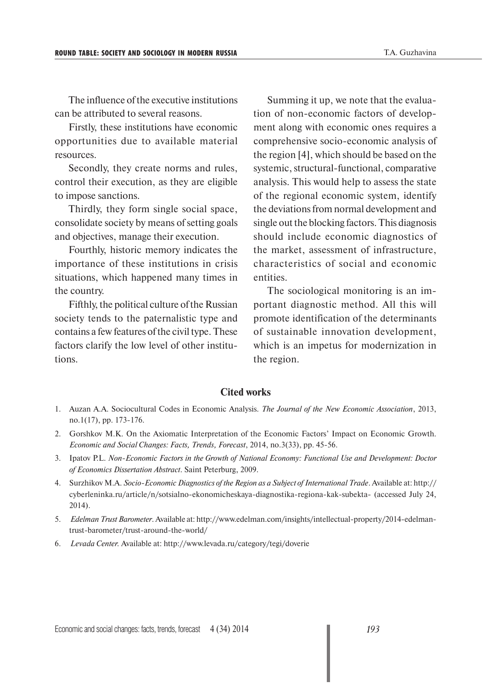The influence of the executive institutions can be attributed to several reasons.

Firstly, these institutions have economic opportunities due to available material resources.

Secondly, they create norms and rules, control their execution, as they are eligible to impose sanctions.

Thirdly, they form single social space, consolidate society by means of setting goals and objectives, manage their execution.

Fourthly, historic memory indicates the importance of these institutions in crisis situations, which happened many times in the country.

Fifthly, the political culture of the Russian society tends to the paternalistic type and contains a few features of the civil type. These factors clarify the low level of other institutions.

Summing it up, we note that the evaluation of non-economic factors of development along with economic ones requires a comprehensive socio-economic analysis of the region [4], which should be based on the systemic, structural-functional, comparative analysis. This would help to assess the state of the regional economic system, identify the deviations from normal development and single out the blocking factors. This diagnosis should include economic diagnostics of the market, assessment of infrastructure, characteristics of social and economic entities.

The sociological monitoring is an important diagnostic method. All this will promote identification of the determinants of sustainable innovation development, which is an impetus for modernization in the region.

## **Cited works**

- 1. Auzan A.A. Sociocultural Codes in Economic Analysis. *The Journal of the New Economic Association*, 2013, no.1(17), pp. 173-176.
- 2. Gorshkov M.K. On the Axiomatic Interpretation of the Economic Factors' Impact on Economic Growth. *Economic and Social Changes: Facts, Trends, Forecast*, 2014, no.3(33), pp. 45-56.
- 3. Ipatov P.L. *Non-Economic Factors in the Growth of National Economy: Functional Use and Development: Doctor of Economics Dissertation Abstract*. Saint Peterburg, 2009.
- 4. Surzhikov M.A. *Socio-Economic Diagnostics of the Region as a Subject of International Trade*. Available at: http:// cyberleninka.ru/article/n/sotsialno-ekonomicheskaya-diagnostika-regiona-kak-subekta- (accessed July 24, 2014).
- 5. *Edelman Trust Barometer*. Available at: http://www.edelman.com/insights/intellectual-property/2014-edelmantrust-barometer/trust-around-the-world/
- 6. *Levada Center.* Available at: http://www.levada.ru/category/tegi/doverie